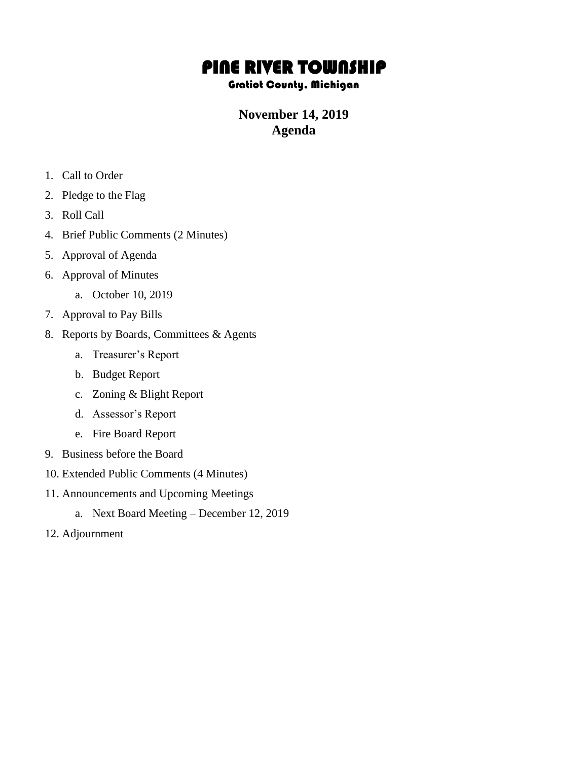## PINE RIVER TOWNSHIP

## Gratiot County, Michigan

## **November 14, 2019 Agenda**

- 1. Call to Order
- 2. Pledge to the Flag
- 3. Roll Call
- 4. Brief Public Comments (2 Minutes)
- 5. Approval of Agenda
- 6. Approval of Minutes
	- a. October 10, 2019
- 7. Approval to Pay Bills
- 8. Reports by Boards, Committees & Agents
	- a. Treasurer's Report
	- b. Budget Report
	- c. Zoning & Blight Report
	- d. Assessor's Report
	- e. Fire Board Report
- 9. Business before the Board
- 10. Extended Public Comments (4 Minutes)
- 11. Announcements and Upcoming Meetings
	- a. Next Board Meeting December 12, 2019
- 12. Adjournment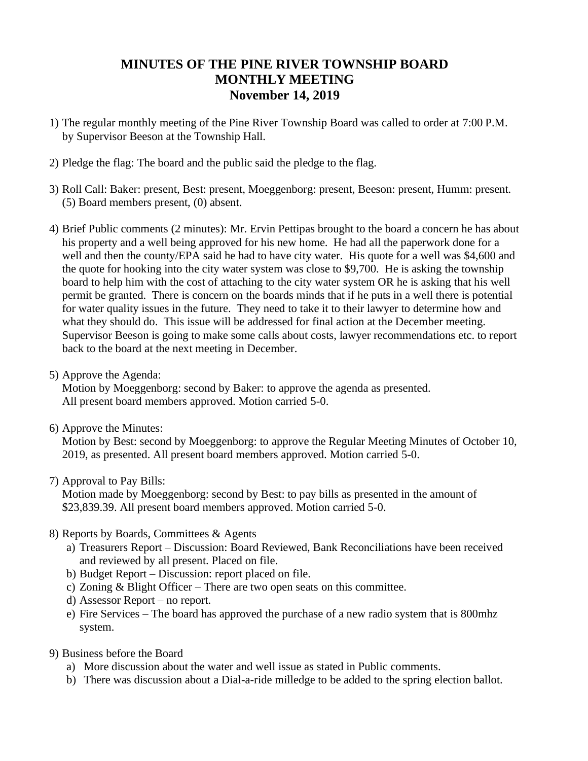## **MINUTES OF THE PINE RIVER TOWNSHIP BOARD MONTHLY MEETING November 14, 2019**

- 1) The regular monthly meeting of the Pine River Township Board was called to order at 7:00 P.M. by Supervisor Beeson at the Township Hall.
- 2) Pledge the flag: The board and the public said the pledge to the flag.
- 3) Roll Call: Baker: present, Best: present, Moeggenborg: present, Beeson: present, Humm: present. (5) Board members present, (0) absent.
- 4) Brief Public comments (2 minutes): Mr. Ervin Pettipas brought to the board a concern he has about his property and a well being approved for his new home. He had all the paperwork done for a well and then the county/EPA said he had to have city water. His quote for a well was \$4,600 and the quote for hooking into the city water system was close to \$9,700. He is asking the township board to help him with the cost of attaching to the city water system OR he is asking that his well permit be granted. There is concern on the boards minds that if he puts in a well there is potential for water quality issues in the future. They need to take it to their lawyer to determine how and what they should do. This issue will be addressed for final action at the December meeting. Supervisor Beeson is going to make some calls about costs, lawyer recommendations etc. to report back to the board at the next meeting in December.
- 5) Approve the Agenda:

Motion by Moeggenborg: second by Baker: to approve the agenda as presented. All present board members approved. Motion carried 5-0.

6) Approve the Minutes:

Motion by Best: second by Moeggenborg: to approve the Regular Meeting Minutes of October 10, 2019, as presented. All present board members approved. Motion carried 5-0.

7) Approval to Pay Bills:

Motion made by Moeggenborg: second by Best: to pay bills as presented in the amount of \$23,839.39. All present board members approved. Motion carried 5-0.

- 8) Reports by Boards, Committees & Agents
	- a) Treasurers Report Discussion: Board Reviewed, Bank Reconciliations have been received and reviewed by all present. Placed on file.
	- b) Budget Report Discussion: report placed on file.
	- c) Zoning & Blight Officer There are two open seats on this committee.
	- d) Assessor Report no report.
	- e) Fire Services The board has approved the purchase of a new radio system that is 800mhz system.
- 9) Business before the Board
	- a) More discussion about the water and well issue as stated in Public comments.
	- b) There was discussion about a Dial-a-ride milledge to be added to the spring election ballot.